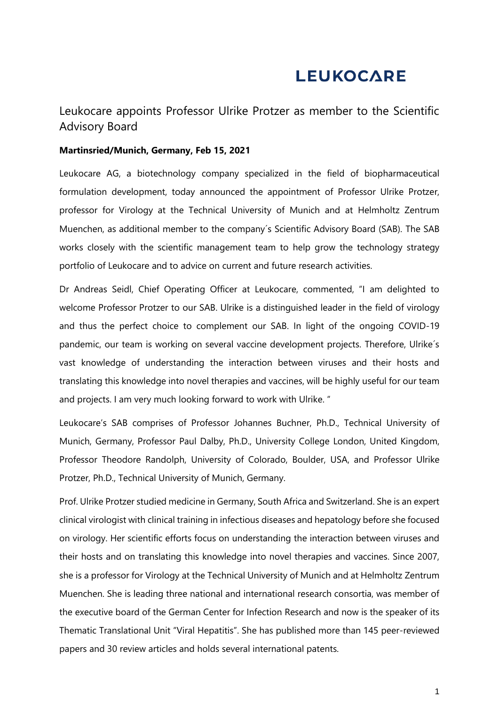## **LEUKOCARE**

Leukocare appoints Professor Ulrike Protzer as member to the Scientific Advisory Board

## **Martinsried/Munich, Germany, Feb 15, 2021**

Leukocare AG, a biotechnology company specialized in the field of biopharmaceutical formulation development, today announced the appointment of Professor Ulrike Protzer, professor for Virology at the Technical University of Munich and at Helmholtz Zentrum Muenchen, as additional member to the company´s Scientific Advisory Board (SAB). The SAB works closely with the scientific management team to help grow the technology strategy portfolio of Leukocare and to advice on current and future research activities.

Dr Andreas Seidl, Chief Operating Officer at Leukocare, commented, "I am delighted to welcome Professor Protzer to our SAB. Ulrike is a distinguished leader in the field of virology and thus the perfect choice to complement our SAB. In light of the ongoing COVID-19 pandemic, our team is working on several vaccine development projects. Therefore, Ulrike´s vast knowledge of understanding the interaction between viruses and their hosts and translating this knowledge into novel therapies and vaccines, will be highly useful for our team and projects. I am very much looking forward to work with Ulrike. "

Leukocare's SAB comprises of Professor Johannes Buchner, Ph.D., Technical University of Munich, Germany, Professor Paul Dalby, Ph.D., University College London, United Kingdom, Professor Theodore Randolph, University of Colorado, Boulder, USA, and Professor Ulrike Protzer, Ph.D., Technical University of Munich, Germany.

Prof. Ulrike Protzer studied medicine in Germany, South Africa and Switzerland. She is an expert clinical virologist with clinical training in infectious diseases and hepatology before she focused on virology. Her scientific efforts focus on understanding the interaction between viruses and their hosts and on translating this knowledge into novel therapies and vaccines. Since 2007, she is a professor for Virology at the Technical University of Munich and at Helmholtz Zentrum Muenchen. She is leading three national and international research consortia, was member of the executive board of the German Center for Infection Research and now is the speaker of its Thematic Translational Unit "Viral Hepatitis". She has published more than 145 peer-reviewed papers and 30 review articles and holds several international patents.